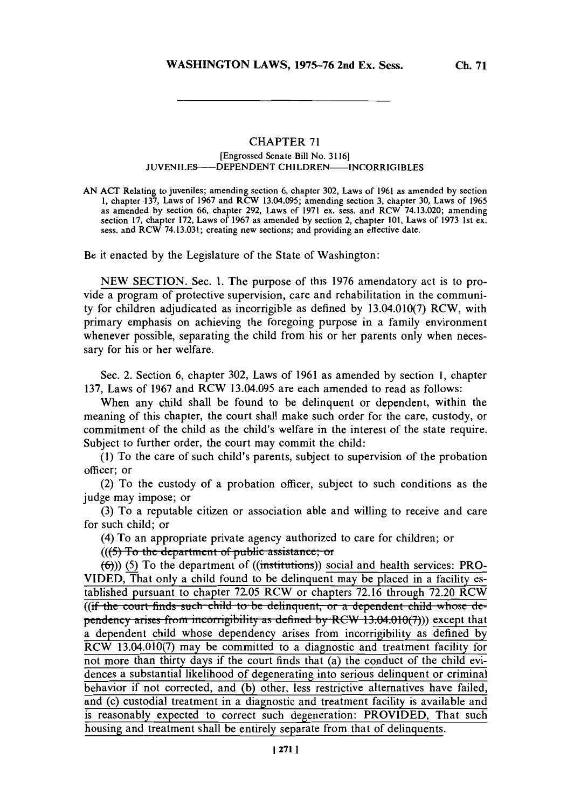**Ch. 71**

## **CHAPTER 71** [Engrossed Senate Bill No. **3116] JUVENILES--DEPENDENT CHILDREN-INCORRIGIBLES**

**AN ACT** Relating to juveniles; amending section **6,** chapter **302,** Laws of **1961** as amended **by** section **1,** chapter **137,** Laws of **1967** and RCW 13.04.095; amending section **3,** chapter **30,** Laws of **1965** as amended **by** section **66,** chapter **292,** Laws of **1971** ex. sess. and RCW 74.13.020; amending section 17, chapter I72, Laws of 1967 as amended by section 2, chapter 101, Laws of 1973 1st ex.<br>sess. and RCW 74.13.031; creating new sections; and providing an effective date.

Be it enacted **by** the Legislature of the State of Washington:

**NEW** SECTION. Sec. **1.** The purpose of this **1976** amendatory act is to provide a program of protective supervision, care and rehabilitation in the community for children adjudicated as incorrigible as defined **by** 13.04.010(7) RCW, with primary emphasis on achieving the foregoing purpose in a family environment whenever possible, separating the child from his or her parents only when necessary for his or her welfare.

Sec. 2. Section **6,** chapter **302,** Laws of **1961** as amended **by** section **1,** chapter **137,** Laws of **1967** and RCW 13.04.095 are each amended to read as follows:

When any child shall be found to be delinquent or dependent, within the meaning of this chapter, the court shall make such order for the care, custody, or commitment of the child as the child's welfare in the interest of the state require. Subject to further order, the court may commit the child:

**(1)** To the care of such child's parents, subject to supervision of the probation officer; or

(2) To the custody of a probation officer, subject to such conditions as the judge may impose; or

**(3)** To a reputable citizen or association able and willing to receive and care for such child; or

(4) To an appropriate private agency authorized to care for children; or

 $(((5)$  To the department of public assistance; or

**(6))) (5)** To the department of ((institutions)) social and health services: PRO-**VIDED,** That only a child found to be delinquent may be placed in a facility established pursuant to chapter **72.05** RCW or chapters **72.16** through **72.20** RCW ((if the court finds such child to be delinquent, or a dependent child whose de**pendency arises from incorrigibility as defined by RCW 13.04.010(7))) except that** a dependent child whose dependency arises from incorrigibility as defined **by** RCW 13.04.010(7) may be committed to a diagnostic and treatment facility for not more than thirty days if the court finds that (a) the conduct of the child evidences a substantial likelihood of degenerating into serious delinquent or criminial behavior if not corrected, and **(b)** other, less restrictive alternatives have failed, and (c) custodial treatment in a diagnostic and treatment facility is available and is reasonably expected to correct such degeneration: PROVIDED, That such housing and treatment shall be entirely separate from that of delinquents.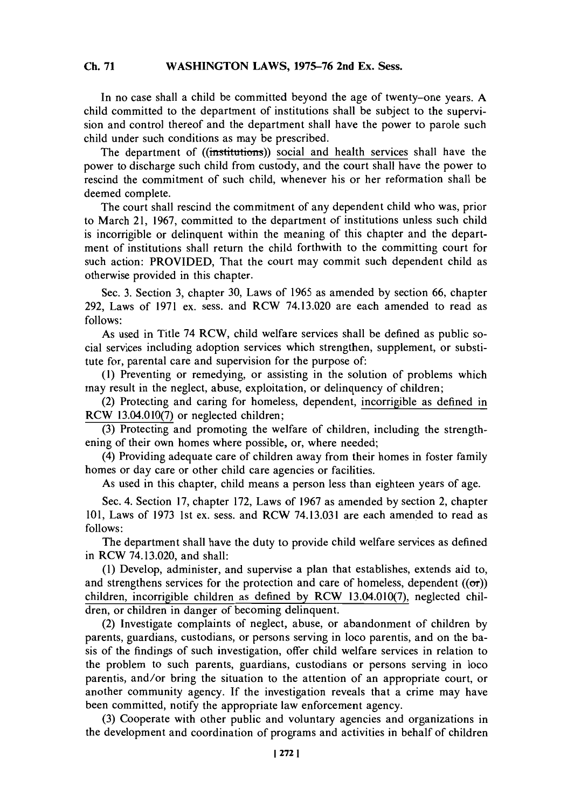## WASHINGTON LAWS, 1975-76 2nd Ex. Sess. **Ch. 71**

In no case shall a child be committed beyond the age of twenty-one years. **A** child committed to the department of institutions shall be subject to the supervision and control thereof and the department shall have the power to parole such child under such conditions as may be prescribed.

The department of ((institutions)) social and health services shall have the power to discharge such child from custody, and the court shall have the power to rescind the commitment of such child, whenever his or her reformation shall be deemed complete.

The court shall rescind the commitment of any dependent child who was, prior to March 21, **1967,** committed to the department of institutions unless such child is incorrigible or delinquent within the meaning of this chapter and the department of institutions shall return the child forthwith to the committing court for such action: PROVIDED, That the court may commit such dependent child as otherwise provided in this chapter.

Sec. **3.** Section **3,** chapter **30,** Laws of **1965** as amended **by** section **66,** chapter **292,** Laws of **1971** ex. sess. and RCW 74.13.020 are each amended to read as **follows:**

As used in Title 74 RCW, child welfare services shall be defined as public social services including adoption services which strengthen, supplement, or substitute for, parental care and supervision for the purpose of:

**(1)** Preventing or remedying, or assisting in the solution of problems which may result in the neglect, abuse, exploitation, or delinquency of children;

(2) Protecting and caring for homeless, dependent, incorrigible as defined in RCW 13.04.010(7) or neglected children;

**(3)** Protecting and promoting the welfare of children, including the strengthening of their own homes where possible, or, where needed;

(4) Providing adequate care of children away from their homes in foster family homes or day care or other child care agencies or facilities.

As used in this chapter, child means a person less than eighteen years of age.

Sec. 4. Section **17,** chapter **172,** Laws of **1967** as amended **by** section 2, chapter **101,** Laws of **1973** 1st ex. sess. and RCW **74.13.031** are each amended to read as **follows:**

The department shall have the duty to provide child welfare services as defined in RCW 74.13.020, and shall:

**(I)** Develop, administer, and supervise a plan that establishes, extends aid to, and strengthens services for the protection and care of homeless, dependent  $((\sigma r))$ children, incorrigible children as defined **by** RCW 13.04.010(7), neglected children, or children in danger of becoming delinquent.

(2) Investigate complaints of neglect, abuse, or abandonment of children **by** parents, guardians, custodians, or persons serving in loco parentis, and on the basis of the findings of such investigation, offer child welfare services in relation to the problem to such parents, guardians, custodians or persons serving in loco parentis, and/or bring the situation to the attention of an appropriate court, or another community agency. **If** the investigation reveals that a crime may have been committed, notify the appropriate law enforcement agency.

**(3)** Cooperate with other public and voluntary agencies and organizations in the development and coordination of programs and activities in behalf of children